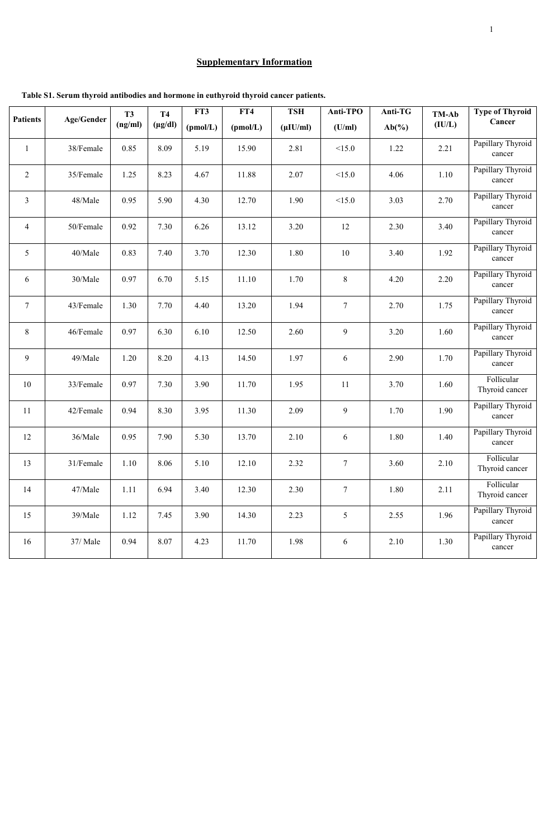## **Supplementary Information**

|                 | <b>Age/Gender</b> | <b>T3</b><br>(ng/ml) | <b>T4</b>    |          | FT3<br>FT4 |                              | <b>Anti-TPO</b> | Anti-TG  | TM-Ab  | <b>Type of Thyroid</b>       |
|-----------------|-------------------|----------------------|--------------|----------|------------|------------------------------|-----------------|----------|--------|------------------------------|
| <b>Patients</b> |                   |                      | $(\mu g/dl)$ | (pmol/L) | (pmol/L)   | <b>TSH</b><br>$(\mu I U/ml)$ | (U/ml)          | $Ab(\%)$ | (IU/L) | Cancer                       |
| $\mathbf{1}$    | 38/Female         | 0.85                 | 8.09         | 5.19     | 15.90      | 2.81                         | <15.0           | 1.22     | 2.21   | Papillary Thyroid<br>cancer  |
| $\overline{2}$  | 35/Female         | 1.25                 | 8.23         | 4.67     | 11.88      | 2.07                         | <15.0           | 4.06     | 1.10   | Papillary Thyroid<br>cancer  |
| $\mathfrak{Z}$  | 48/Male           | 0.95                 | 5.90         | 4.30     | 12.70      | 1.90                         | <15.0           | 3.03     | 2.70   | Papillary Thyroid<br>cancer  |
| $\overline{4}$  | 50/Female         | 0.92                 | 7.30         | 6.26     | 13.12      | 3.20                         | 12              | 2.30     | 3.40   | Papillary Thyroid<br>cancer  |
| 5               | 40/Male           | 0.83                 | 7.40         | 3.70     | 12.30      | 1.80                         | 10              | 3.40     | 1.92   | Papillary Thyroid<br>cancer  |
| 6               | 30/Male           | 0.97                 | 6.70         | 5.15     | 11.10      | 1.70                         | 8               | 4.20     | 2.20   | Papillary Thyroid<br>cancer  |
| $\overline{7}$  | 43/Female         | 1.30                 | 7.70         | 4.40     | 13.20      | 1.94                         | $\overline{7}$  | 2.70     | 1.75   | Papillary Thyroid<br>cancer  |
| 8               | 46/Female         | 0.97                 | 6.30         | 6.10     | 12.50      | 2.60                         | 9               | 3.20     | 1.60   | Papillary Thyroid<br>cancer  |
| 9               | 49/Male           | 1.20                 | 8.20         | 4.13     | 14.50      | 1.97                         | 6               | 2.90     | 1.70   | Papillary Thyroid<br>cancer  |
| 10              | 33/Female         | 0.97                 | 7.30         | 3.90     | 11.70      | 1.95                         | 11              | 3.70     | 1.60   | Follicular<br>Thyroid cancer |
| 11              | 42/Female         | 0.94                 | 8.30         | 3.95     | 11.30      | 2.09                         | 9               | 1.70     | 1.90   | Papillary Thyroid<br>cancer  |
| 12              | 36/Male           | 0.95                 | 7.90         | 5.30     | 13.70      | 2.10                         | 6               | 1.80     | 1.40   | Papillary Thyroid<br>cancer  |
| 13              | 31/Female         | 1.10                 | 8.06         | 5.10     | 12.10      | 2.32                         | $7\phantom{.0}$ | 3.60     | 2.10   | Follicular<br>Thyroid cancer |
| 14              | 47/Male           | 1.11                 | 6.94         | 3.40     | 12.30      | 2.30                         | $7\overline{ }$ | 1.80     | 2.11   | Follicular<br>Thyroid cancer |
| 15              | 39/Male           | 1.12                 | 7.45         | 3.90     | 14.30      | 2.23                         | 5               | 2.55     | 1.96   | Papillary Thyroid<br>cancer  |
| 16              | 37/ Male          | 0.94                 | 8.07         | 4.23     | 11.70      | 1.98                         | 6               | 2.10     | 1.30   | Papillary Thyroid<br>cancer  |

 **Table S1. Serum thyroid antibodies and hormone in euthyroid thyroid cancer patients.**